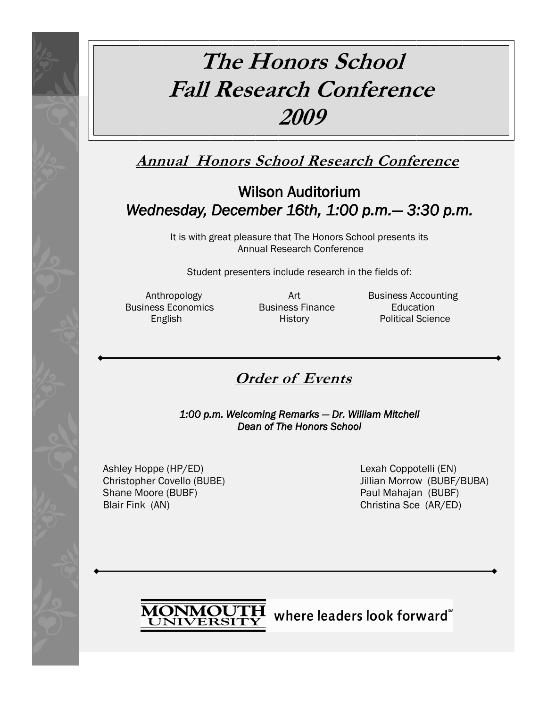# **The Honors School Fall Research Conference 2009**

**Annual Honors School Research Conference**

# Wilson Auditorium *Wednesday, December 16th, 1:00 p.m.— 3:30 p.m.*

It is with great pleasure that The Honors School presents its Annual Research Conference

Student presenters include research in the fields of:

Business Economics Business Finance Education

Anthropology **Art** Art Business Accounting<br>
Rusiness Economics Business Finance **Business** Education English History History Political Science

# **Order of Events**

*1:00 p.m. Welcoming Remarks — Dr. William Mitchell Dean of The Honors School* 

Ashley Hoppe (HP/ED) Lexah Coppotelli (EN) Shane Moore (BUBF) **Paul Mahajan (BUBF)** Paul Mahajan (BUBF) Blair Fink (AN) Christina Sce (AR/ED)

Christopher Covello (BUBE) Jillian Morrow (BUBF/BUBA)

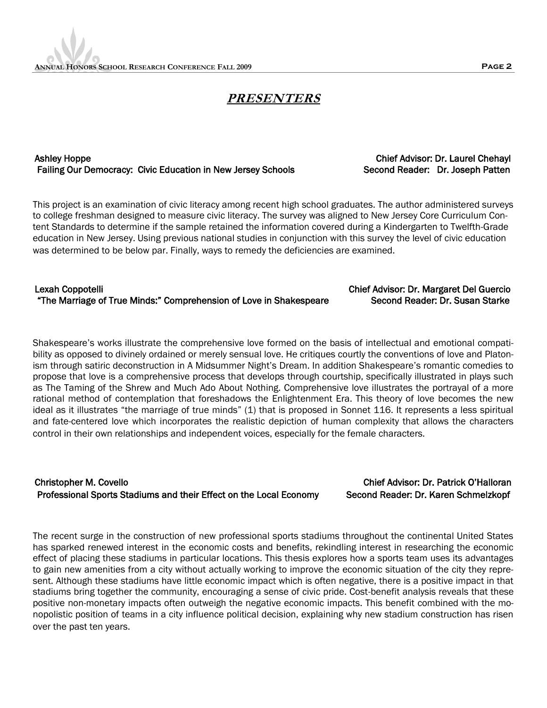# **PRESENTERS**

### Ashley Hoppe Chief Advisor: Dr. Laurel Chehayl Failing Our Democracy: Civic Education in New Jersey Schools Second Reader: Dr. Joseph Patten

This project is an examination of civic literacy among recent high school graduates. The author administered surveys to college freshman designed to measure civic literacy. The survey was aligned to New Jersey Core Curriculum Content Standards to determine if the sample retained the information covered during a Kindergarten to Twelfth-Grade education in New Jersey. Using previous national studies in conjunction with this survey the level of civic education was determined to be below par. Finally, ways to remedy the deficiencies are examined.

### Lexah Coppotelli Chief Advisor: Dr. Margaret Del Guercio "The Marriage of True Minds:" Comprehension of Love in Shakespeare Second Reader: Dr. Susan Starke

Shakespeare's works illustrate the comprehensive love formed on the basis of intellectual and emotional compatibility as opposed to divinely ordained or merely sensual love. He critiques courtly the conventions of love and Platonism through satiric deconstruction in A Midsummer Night's Dream. In addition Shakespeare's romantic comedies to propose that love is a comprehensive process that develops through courtship, specifically illustrated in plays such as The Taming of the Shrew and Much Ado About Nothing. Comprehensive love illustrates the portrayal of a more rational method of contemplation that foreshadows the Enlightenment Era. This theory of love becomes the new ideal as it illustrates "the marriage of true minds" (1) that is proposed in Sonnet 116. It represents a less spiritual and fate-centered love which incorporates the realistic depiction of human complexity that allows the characters control in their own relationships and independent voices, especially for the female characters.

## Christopher M. Covello Chief Advisor: Dr. Patrick O'Halloran Professional Sports Stadiums and their Effect on the Local Economy Second Reader: Dr. Karen Schmelzkopf

The recent surge in the construction of new professional sports stadiums throughout the continental United States has sparked renewed interest in the economic costs and benefits, rekindling interest in researching the economic effect of placing these stadiums in particular locations. This thesis explores how a sports team uses its advantages to gain new amenities from a city without actually working to improve the economic situation of the city they represent. Although these stadiums have little economic impact which is often negative, there is a positive impact in that stadiums bring together the community, encouraging a sense of civic pride. Cost-benefit analysis reveals that these positive non-monetary impacts often outweigh the negative economic impacts. This benefit combined with the monopolistic position of teams in a city influence political decision, explaining why new stadium construction has risen over the past ten years.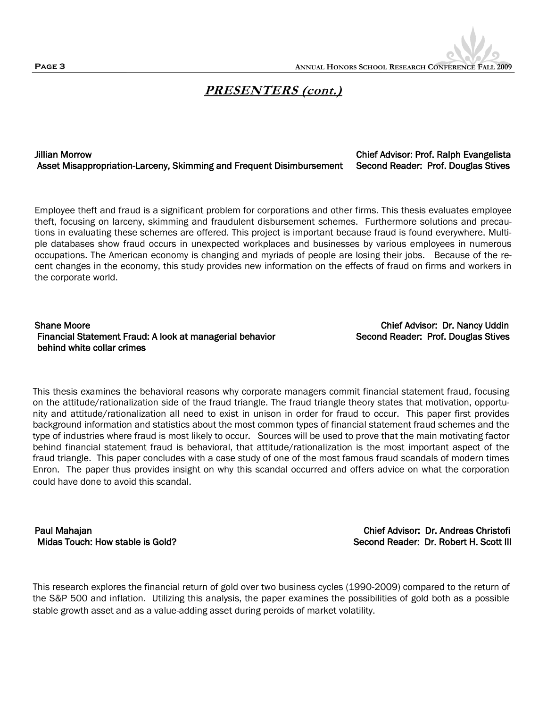

# **PRESENTERS (cont.)**

Jillian Morrow Chief Advisor: Prof. Ralph Evangelista Asset Misappropriation-Larceny, Skimming and Frequent Disimbursement Second Reader: Prof. Douglas Stives

Employee theft and fraud is a significant problem for corporations and other firms. This thesis evaluates employee theft, focusing on larceny, skimming and fraudulent disbursement schemes. Furthermore solutions and precautions in evaluating these schemes are offered. This project is important because fraud is found everywhere. Multiple databases show fraud occurs in unexpected workplaces and businesses by various employees in numerous occupations. The American economy is changing and myriads of people are losing their jobs. Because of the recent changes in the economy, this study provides new information on the effects of fraud on firms and workers in the corporate world.

### Shane Moore Chief Advisor: Dr. Nancy Uddin Financial Statement Fraud: A look at managerial behavior Second Reader: Prof. Douglas Stives behind white collar crimes

This thesis examines the behavioral reasons why corporate managers commit financial statement fraud, focusing on the attitude/rationalization side of the fraud triangle. The fraud triangle theory states that motivation, opportunity and attitude/rationalization all need to exist in unison in order for fraud to occur. This paper first provides background information and statistics about the most common types of financial statement fraud schemes and the type of industries where fraud is most likely to occur. Sources will be used to prove that the main motivating factor behind financial statement fraud is behavioral, that attitude/rationalization is the most important aspect of the fraud triangle. This paper concludes with a case study of one of the most famous fraud scandals of modern times Enron. The paper thus provides insight on why this scandal occurred and offers advice on what the corporation could have done to avoid this scandal.

Paul Mahajan Chief Advisor: Dr. Andreas Christofi Midas Touch: How stable is Gold? Second Reader: Dr. Robert H. Scott III

This research explores the financial return of gold over two business cycles (1990-2009) compared to the return of the S&P 500 and inflation. Utilizing this analysis, the paper examines the possibilities of gold both as a possible stable growth asset and as a value-adding asset during peroids of market volatility.